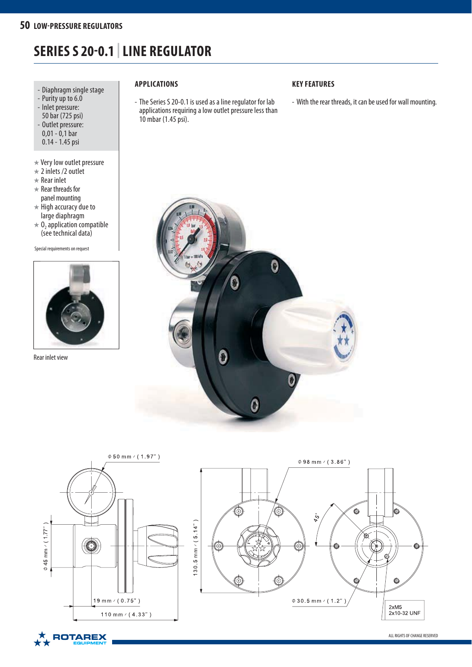# **SERIES S 20-0.1 | LINE REGULATOR**

- Diaphragm single stage
- Purity up to 6.0
- Inlet pressure: 50 bar (725 psi) - Outlet pressure:
- 0,01 0,1 bar 0.14 - 1.45 psi
- ★ Very low outlet pressure
- $\star$  2 inlets /2 outlet
- $\star$  Rear inlet
- $\star$  Rear threads for panel mounting
- $\star$  High accuracy due to large diaphragm
- $\star$  O<sub>2</sub> application compatible (see technical data)

Special requirements on request



Rear inlet view

# **APPLICATIONS**

- The Series S 20-0.1 is used as a line regulator for lab applications requiring a low outlet pressure less than 10 mbar (1.45 psi).

# **KEY FEATURES**

- With the rear threads, it can be used for wall mounting.